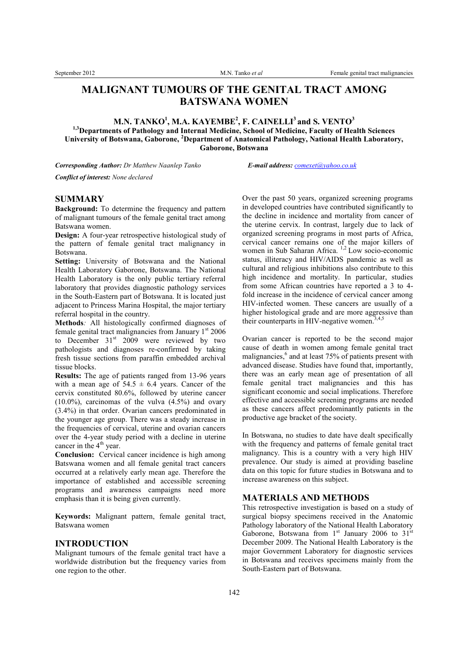# **MALIGNANT TUMOURS OF THE GENITAL TRACT AMONG BATSWANA WOMEN**

**M.N. TANKO<sup>1</sup> , M.A. KAYEMBE<sup>2</sup> , F. CAINELLI<sup>3</sup> and S. VENTO<sup>3</sup>**

**1,3Departments of Pathology and Internal Medicine, School of Medicine, Faculty of Health Sciences University of Botswana, Gaborone, <sup>2</sup>Department of Anatomical Pathology, National Health Laboratory, Gaborone, Botswana**

*Corresponding Author: Dr Matthew Naanlep Tanko E-mail address: comexet@yahoo.co.uk Conflict of interest: None declared*

#### **SUMMARY**

**Background:** To determine the frequency and pattern of malignant tumours of the female genital tract among Batswana women.

**Design:** A four-year retrospective histological study of the pattern of female genital tract malignancy in Botswana.

**Setting:** University of Botswana and the National Health Laboratory Gaborone, Botswana. The National Health Laboratory is the only public tertiary referral laboratory that provides diagnostic pathology services in the South-Eastern part of Botswana. It is located just adjacent to Princess Marina Hospital, the major tertiary referral hospital in the country.

**Methods***:* All histologically confirmed diagnoses of female genital tract malignancies from January  $1<sup>st</sup> 2006$ to December  $31<sup>st</sup>$  2009 were reviewed by two pathologists and diagnoses re-confirmed by taking fresh tissue sections from paraffin embedded archival tissue blocks.

**Results:** The age of patients ranged from 13-96 years with a mean age of  $54.5 \pm 6.4$  years. Cancer of the cervix constituted 80.6%, followed by uterine cancer  $(10.0\%)$ , carcinomas of the vulva  $(4.5\%)$  and ovary (3.4%) in that order. Ovarian cancers predominated in the younger age group. There was a steady increase in the frequencies of cervical, uterine and ovarian cancers over the 4-year study period with a decline in uterine cancer in the  $4<sup>th</sup>$  year.

**Conclusion:** Cervical cancer incidence is high among Batswana women and all female genital tract cancers occurred at a relatively early mean age. Therefore the importance of established and accessible screening programs and awareness campaigns need more emphasis than it is being given currently.

**Keywords:** Malignant pattern, female genital tract, Batswana women

#### **INTRODUCTION**

Malignant tumours of the female genital tract have a worldwide distribution but the frequency varies from one region to the other.

Over the past 50 years, organized screening programs in developed countries have contributed significantly to the decline in incidence and mortality from cancer of the uterine cervix. In contrast, largely due to lack of organized screening programs in most parts of Africa, cervical cancer remains one of the major killers of women in Sub Saharan Africa.<sup>1,2</sup> Low socio-economic status, illiteracy and HIV/AIDS pandemic as well as cultural and religious inhibitions also contribute to this high incidence and mortality. In particular, studies from some African countries have reported a 3 to 4 fold increase in the incidence of cervical cancer among HIV-infected women. These cancers are usually of a higher histological grade and are more aggressive than their counterparts in HIV-negative women.<sup>3,4,5</sup>

Ovarian cancer is reported to be the second major cause of death in women among female genital tract malignancies,<sup>6</sup> and at least 75% of patients present with advanced disease. Studies have found that, importantly, there was an early mean age of presentation of all female genital tract malignancies and this has significant economic and social implications. Therefore effective and accessible screening programs are needed as these cancers affect predominantly patients in the productive age bracket of the society.

In Botswana, no studies to date have dealt specifically with the frequency and patterns of female genital tract malignancy. This is a country with a very high HIV prevalence. Our study is aimed at providing baseline data on this topic for future studies in Botswana and to increase awareness on this subject.

### **MATERIALS AND METHODS**

This retrospective investigation is based on a study of surgical biopsy specimens received in the Anatomic Pathology laboratory of the National Health Laboratory Gaborone, Botswana from  $1<sup>st</sup>$  January 2006 to  $31<sup>st</sup>$ December 2009. The National Health Laboratory is the major Government Laboratory for diagnostic services in Botswana and receives specimens mainly from the South-Eastern part of Botswana.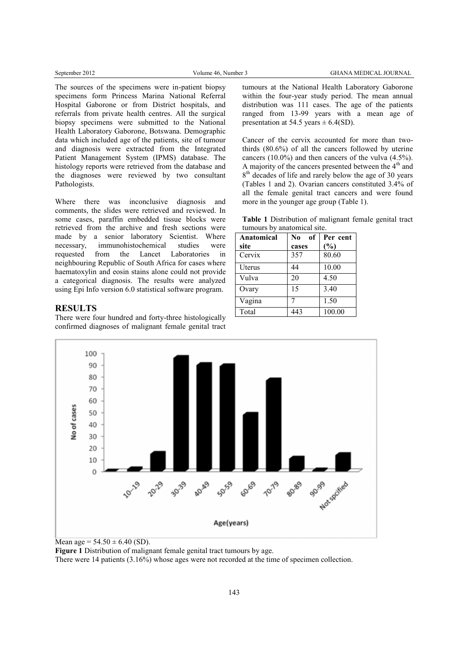The sources of the specimens were in-patient biopsy specimens form Princess Marina National Referral Hospital Gaborone or from District hospitals, and referrals from private health centres. All the surgical biopsy specimens were submitted to the National Health Laboratory Gaborone, Botswana. Demographic data which included age of the patients, site of tumour and diagnosis were extracted from the Integrated Patient Management System (IPMS) database. The histology reports were retrieved from the database and the diagnoses were reviewed by two consultant Pathologists.

Where there was inconclusive diagnosis and comments, the slides were retrieved and reviewed. In some cases, paraffin embedded tissue blocks were retrieved from the archive and fresh sections were made by a senior laboratory Scientist. Where necessary, immunohistochemical studies were requested from the Lancet Laboratories in neighbouring Republic of South Africa for cases where haematoxylin and eosin stains alone could not provide a categorical diagnosis. The results were analyzed using Epi Info version 6.0 statistical software program.

## **RESULTS**

There were four hundred and forty-three histologically confirmed diagnoses of malignant female genital tract tumours at the National Health Laboratory Gaborone within the four-year study period. The mean annual distribution was 111 cases. The age of the patients ranged from 13-99 years with a mean age of presentation at 54.5 years  $\pm$  6.4(SD).

Cancer of the cervix accounted for more than twothirds (80.6%) of all the cancers followed by uterine cancers (10.0%) and then cancers of the vulva (4.5%). A majority of the cancers presented between the 4<sup>th</sup> and 8<sup>th</sup> decades of life and rarely below the age of 30 years (Tables 1 and 2). Ovarian cancers constituted 3.4% of all the female genital tract cancers and were found more in the younger age group (Table 1).

**Table 1** Distribution of malignant female genital tract tumours by anatomical site.

| <b>Anatomical</b><br>site | No<br>of     | Per cent<br>(%)    |  |
|---------------------------|--------------|--------------------|--|
| Cervix                    | cases<br>357 | 80.60              |  |
|                           |              |                    |  |
| Uterus                    | 44           | $\overline{10.00}$ |  |
| Vulva                     | 20           | 4.50               |  |
| Ovary                     | 15           | 3.40               |  |
| Vagina                    | 7            | 1.50               |  |
| Total                     | 443          | 100.00             |  |



Mean age =  $54.50 \pm 6.40$  (SD).

**Figure 1** Distribution of malignant female genital tract tumours by age.

There were 14 patients (3.16%) whose ages were not recorded at the time of specimen collection.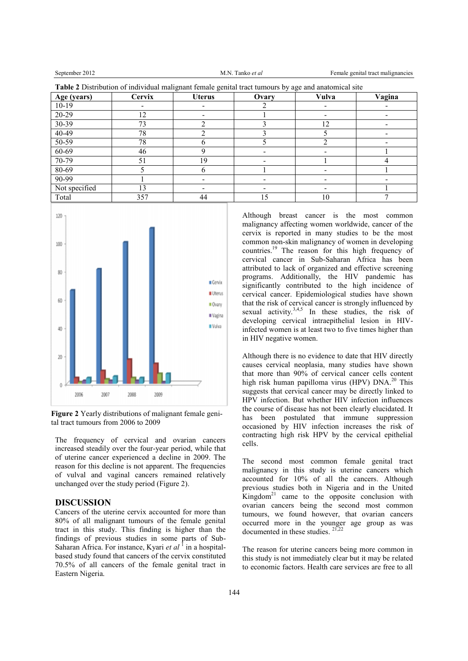**Table 2** Distribution of individual malignant for

September 2012 M.N. Tanko *et al* Female genital tract malignancies

| Age (years)   | <b>Cervix</b> | <b>Uterus</b> | Ovary | Vulva | Vagina |
|---------------|---------------|---------------|-------|-------|--------|
| $10-19$       |               |               |       |       |        |
| 20-29         | 12            |               |       |       |        |
| 30-39         | 73            |               |       | 12    |        |
| 40-49         | 78            |               |       |       |        |
| 50-59         | 78            |               |       |       |        |
| 60-69         | 46            |               |       |       |        |
| 70-79         | 51            | 19            |       |       |        |
| 80-69         |               |               |       |       |        |
| 90-99         |               |               |       |       |        |
| Not specified | 13            |               |       |       |        |
| Total         | 357           | 44            | 15    | 10    |        |



**Figure 2** Yearly distributions of malignant female genital tract tumours from 2006 to 2009

The frequency of cervical and ovarian cancers increased steadily over the four-year period, while that of uterine cancer experienced a decline in 2009. The reason for this decline is not apparent. The frequencies of vulval and vaginal cancers remained relatively unchanged over the study period (Figure 2).

## **DISCUSSION**

Cancers of the uterine cervix accounted for more than 80% of all malignant tumours of the female genital tract in this study. This finding is higher than the findings of previous studies in some parts of Sub-Saharan Africa. For instance, Kyari et al<sup>1</sup> in a hospitalbased study found that cancers of the cervix constituted 70.5% of all cancers of the female genital tract in Eastern Nigeria.

Although breast cancer is the most common malignancy affecting women worldwide, cancer of the cervix is reported in many studies to be the most common non-skin malignancy of women in developing countries.<sup>19</sup> The reason for this high frequency of cervical cancer in Sub-Saharan Africa has been attributed to lack of organized and effective screening programs. Additionally, the HIV pandemic has significantly contributed to the high incidence of cervical cancer. Epidemiological studies have shown that the risk of cervical cancer is strongly influenced by sexual activity.<sup>3,4,5</sup> In these studies, the risk of developing cervical intraepithelial lesion in HIVinfected women is at least two to five times higher than in HIV negative women.

Although there is no evidence to date that HIV directly causes cervical neoplasia, many studies have shown that more than 90% of cervical cancer cells content high risk human papilloma virus (HPV) DNA.<sup>20</sup> This suggests that cervical cancer may be directly linked to HPV infection. But whether HIV infection influences the course of disease has not been clearly elucidated. It has been postulated that immune suppression occasioned by HIV infection increases the risk of contracting high risk HPV by the cervical epithelial cells.

The second most common female genital tract malignancy in this study is uterine cancers which accounted for 10% of all the cancers. Although previous studies both in Nigeria and in the United Kingdom<sup>21</sup> came to the opposite conclusion with ovarian cancers being the second most common tumours, we found however, that ovarian cancers occurred more in the younger age group as was documented in these studies. 21,22

The reason for uterine cancers being more common in this study is not immediately clear but it may be related to economic factors. Health care services are free to all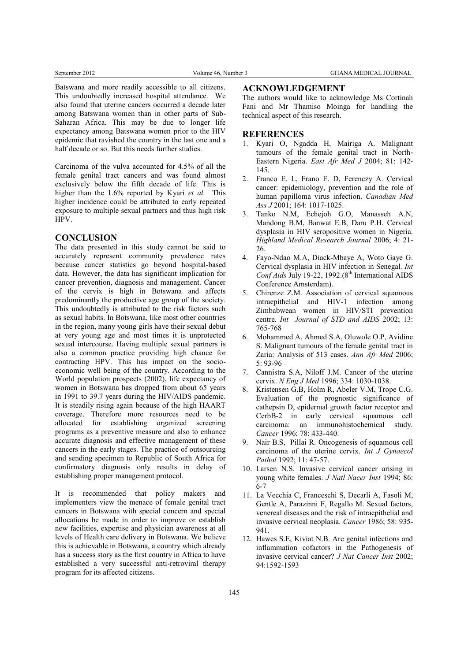Batswana and more readily accessible to all citizens. This undoubtedly increased hospital attendance. We also found that uterine cancers occurred a decade later among Batswana women than in other parts of Sub-Saharan Africa. This may be due to longer life expectancy among Batswana women prior to the HIV epidemic that ravished the country in the last one and a half decade or so. But this needs further studies.

Carcinoma of the vulva accounted for 4.5% of all the female genital tract cancers and was found almost exclusively below the fifth decade of life. This is higher than the 1.6% reported by Kyari *et al.* This higher incidence could be attributed to early repeated exposure to multiple sexual partners and thus high risk HPV.

#### **CONCLUSION**

The data presented in this study cannot be said to accurately represent community prevalence rates because cancer statistics go beyond hospital-based data. However, the data has significant implication for cancer prevention, diagnosis and management. Cancer of the cervix is high in Botswana and affects predominantly the productive age group of the society. This undoubtedly is attributed to the risk factors such as sexual habits. In Botswana, like most other countries in the region, many young girls have their sexual debut at very young age and most times it is unprotected sexual intercourse. Having multiple sexual partners is also a common practice providing high chance for contracting HPV. This has impact on the socioeconomic well being of the country. According to the World population prospects (2002), life expectancy of women in Botswana has dropped from about 65 years in 1991 to 39.7 years during the HIV/AIDS pandemic. It is steadily rising again because of the high HAART coverage. Therefore more resources need to be allocated for establishing organized screening programs as a preventive measure and also to enhance accurate diagnosis and effective management of these cancers in the early stages. The practice of outsourcing and sending specimen to Republic of South Africa for confirmatory diagnosis only results in delay of establishing proper management protocol.

It is recommended that policy makers and implementers view the menace of female genital tract cancers in Botswana with special concern and special allocations be made in order to improve or establish new facilities, expertise and physician awareness at all levels of Health care delivery in Botswana. We believe this is achievable in Botswana, a country which already has a success story as the first country in Africa to have established a very successful anti-retroviral therapy program for its affected citizens.

## **ACKNOWLEDGEMENT**

The authors would like to acknowledge Ms Cortinah Fani and Mr Thamiso Moinga for handling the technical aspect of this research.

#### **REFERENCES**

- 1. Kyari O, Ngadda H, Mairiga A. Malignant tumours of the female genital tract in North-Eastern Nigeria. *East Afr Med J* 2004; 81: 142- 145.
- 2. Franco E. L, Frano E. D, Ferenczy A. Cervical cancer: epidemiology, prevention and the role of human papilloma virus infection. *Canadian Med Ass J* 2001; 164: 1017-1025.
- 3. Tanko N.M, Echejoh G.O, Manasseh A.N, Mandong B.M, Banwat E.B, Daru P.H. Cervical dysplasia in HIV seropositive women in Nigeria. *Highland Medical Research Journal* 2006; 4: 21- 26.
- 4. Fayo-Ndao M.A, Diack-Mbaye A, Woto Gaye G. Cervical dysplasia in HIV infection in Senegal*. Int* Conf Aids July 19-22, 1992.(8<sup>th</sup> International AIDS Conference Amsterdam).
- 5. Chirenze Z.M. Association of cervical squamous intraepithelial and HIV-1 infection among Zimbabwean women in HIV/STI prevention centre. *Int Journal of STD and AIDS* 2002; 13: 765-768
- 6. Mohammed A, Ahmed S.A, Oluwole O.P, Avidine S. Malignant tumours of the female genital tract in Zaria: Analysis of 513 cases. *Ann Afr Med* 2006; 5: 93-96
- 7. Cannistra S.A, Niloff J.M. Cancer of the uterine cervix. *N Eng J Med* 1996; 334: 1030-1038.
- 8. Kristensen G.B, Holm R, Abeler V.M, Trope C.G. Evaluation of the prognostic significance of cathepsin D, epidermal growth factor receptor and CerbB-2 in early cervical squamous cell carcinoma: an immunohistochemical study. *Cancer* 1996; 78: 433-440.
- 9. Nair B.S, Pillai R. Oncogenesis of squamous cell carcinoma of the uterine cervix. *Int J Gynaecol Pathol* 1992; 11: 47-57.
- 10. Larsen N.S. Invasive cervical cancer arising in young white females. *J Natl Nacer Inst* 1994; 86: 6-7
- 11. La Vecchia C, Franceschi S, Decarli A, Fasoli M, Gentle A, Parazinni F, Regallo M. Sexual factors, venereal diseases and the risk of intraepithelial and invasive cervical neoplasia. *Cancer* 1986; 58: 935- 941.
- 12. Hawes S.E, Kiviat N.B. Are genital infections and inflammation cofactors in the Pathogenesis of invasive cervical cancer? *J Nat Cancer Inst* 2002; 94:1592-1593